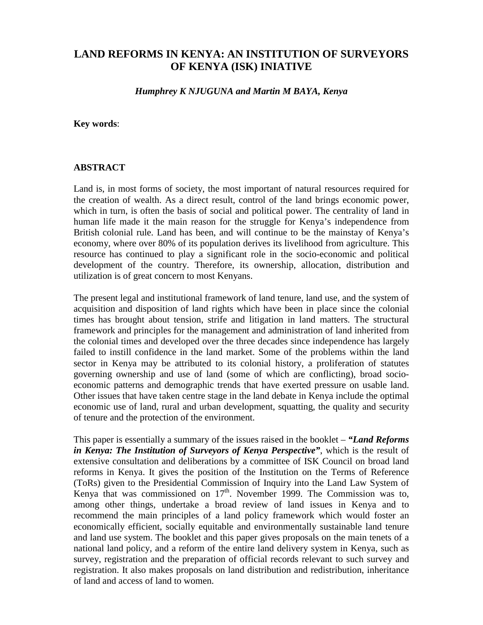# **LAND REFORMS IN KENYA: AN INSTITUTION OF SURVEYORS OF KENYA (ISK) INIATIVE**

*Humphrey K NJUGUNA and Martin M BAYA, Kenya*

#### **Key words**:

#### **ABSTRACT**

Land is, in most forms of society, the most important of natural resources required for the creation of wealth. As a direct result, control of the land brings economic power, which in turn, is often the basis of social and political power. The centrality of land in human life made it the main reason for the struggle for Kenya's independence from British colonial rule. Land has been, and will continue to be the mainstay of Kenya's economy, where over 80% of its population derives its livelihood from agriculture. This resource has continued to play a significant role in the socio-economic and political development of the country. Therefore, its ownership, allocation, distribution and utilization is of great concern to most Kenyans.

The present legal and institutional framework of land tenure, land use, and the system of acquisition and disposition of land rights which have been in place since the colonial times has brought about tension, strife and litigation in land matters. The structural framework and principles for the management and administration of land inherited from the colonial times and developed over the three decades since independence has largely failed to instill confidence in the land market. Some of the problems within the land sector in Kenya may be attributed to its colonial history, a proliferation of statutes governing ownership and use of land (some of which are conflicting), broad socioeconomic patterns and demographic trends that have exerted pressure on usable land. Other issues that have taken centre stage in the land debate in Kenya include the optimal economic use of land, rural and urban development, squatting, the quality and security of tenure and the protection of the environment.

This paper is essentially a summary of the issues raised in the booklet – *"Land Reforms in Kenya: The Institution of Surveyors of Kenya Perspective"*, which is the result of extensive consultation and deliberations by a committee of ISK Council on broad land reforms in Kenya. It gives the position of the Institution on the Terms of Reference (ToRs) given to the Presidential Commission of Inquiry into the Land Law System of Kenya that was commissioned on  $17<sup>th</sup>$ . November 1999. The Commission was to, among other things, undertake a broad review of land issues in Kenya and to recommend the main principles of a land policy framework which would foster an economically efficient, socially equitable and environmentally sustainable land tenure and land use system. The booklet and this paper gives proposals on the main tenets of a national land policy, and a reform of the entire land delivery system in Kenya, such as survey, registration and the preparation of official records relevant to such survey and registration. It also makes proposals on land distribution and redistribution, inheritance of land and access of land to women.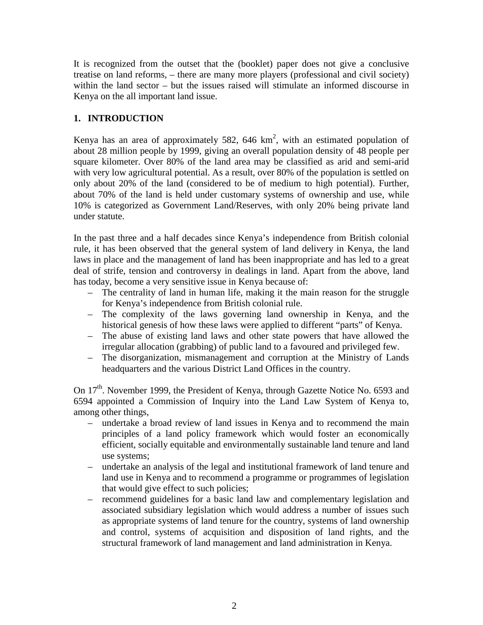It is recognized from the outset that the (booklet) paper does not give a conclusive treatise on land reforms, – there are many more players (professional and civil society) within the land sector – but the issues raised will stimulate an informed discourse in Kenya on the all important land issue.

#### **1. INTRODUCTION**

Kenya has an area of approximately 582, 646 km<sup>2</sup>, with an estimated population of about 28 million people by 1999, giving an overall population density of 48 people per square kilometer. Over 80% of the land area may be classified as arid and semi-arid with very low agricultural potential. As a result, over 80% of the population is settled on only about 20% of the land (considered to be of medium to high potential). Further, about 70% of the land is held under customary systems of ownership and use, while 10% is categorized as Government Land/Reserves, with only 20% being private land under statute.

In the past three and a half decades since Kenya's independence from British colonial rule, it has been observed that the general system of land delivery in Kenya, the land laws in place and the management of land has been inappropriate and has led to a great deal of strife, tension and controversy in dealings in land. Apart from the above, land has today, become a very sensitive issue in Kenya because of:

- The centrality of land in human life, making it the main reason for the struggle for Kenya's independence from British colonial rule.
- The complexity of the laws governing land ownership in Kenya, and the historical genesis of how these laws were applied to different "parts" of Kenya.
- The abuse of existing land laws and other state powers that have allowed the irregular allocation (grabbing) of public land to a favoured and privileged few.
- The disorganization, mismanagement and corruption at the Ministry of Lands headquarters and the various District Land Offices in the country.

On 17<sup>th</sup>. November 1999, the President of Kenya, through Gazette Notice No. 6593 and 6594 appointed a Commission of Inquiry into the Land Law System of Kenya to, among other things,

- undertake a broad review of land issues in Kenya and to recommend the main principles of a land policy framework which would foster an economically efficient, socially equitable and environmentally sustainable land tenure and land use systems;
- undertake an analysis of the legal and institutional framework of land tenure and land use in Kenya and to recommend a programme or programmes of legislation that would give effect to such policies;
- recommend guidelines for a basic land law and complementary legislation and associated subsidiary legislation which would address a number of issues such as appropriate systems of land tenure for the country, systems of land ownership and control, systems of acquisition and disposition of land rights, and the structural framework of land management and land administration in Kenya.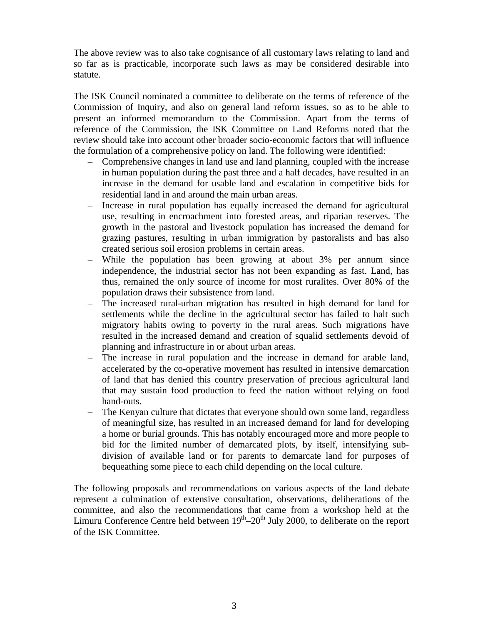The above review was to also take cognisance of all customary laws relating to land and so far as is practicable, incorporate such laws as may be considered desirable into statute.

The ISK Council nominated a committee to deliberate on the terms of reference of the Commission of Inquiry, and also on general land reform issues, so as to be able to present an informed memorandum to the Commission. Apart from the terms of reference of the Commission, the ISK Committee on Land Reforms noted that the review should take into account other broader socio-economic factors that will influence the formulation of a comprehensive policy on land. The following were identified:

- Comprehensive changes in land use and land planning, coupled with the increase in human population during the past three and a half decades, have resulted in an increase in the demand for usable land and escalation in competitive bids for residential land in and around the main urban areas.
- Increase in rural population has equally increased the demand for agricultural use, resulting in encroachment into forested areas, and riparian reserves. The growth in the pastoral and livestock population has increased the demand for grazing pastures, resulting in urban immigration by pastoralists and has also created serious soil erosion problems in certain areas.
- While the population has been growing at about 3% per annum since independence, the industrial sector has not been expanding as fast. Land, has thus, remained the only source of income for most ruralites. Over 80% of the population draws their subsistence from land.
- The increased rural-urban migration has resulted in high demand for land for settlements while the decline in the agricultural sector has failed to halt such migratory habits owing to poverty in the rural areas. Such migrations have resulted in the increased demand and creation of squalid settlements devoid of planning and infrastructure in or about urban areas.
- The increase in rural population and the increase in demand for arable land, accelerated by the co-operative movement has resulted in intensive demarcation of land that has denied this country preservation of precious agricultural land that may sustain food production to feed the nation without relying on food hand-outs.
- The Kenyan culture that dictates that everyone should own some land, regardless of meaningful size, has resulted in an increased demand for land for developing a home or burial grounds. This has notably encouraged more and more people to bid for the limited number of demarcated plots, by itself, intensifying subdivision of available land or for parents to demarcate land for purposes of bequeathing some piece to each child depending on the local culture.

The following proposals and recommendations on various aspects of the land debate represent a culmination of extensive consultation, observations, deliberations of the committee, and also the recommendations that came from a workshop held at the Limuru Conference Centre held between  $19<sup>th</sup>-20<sup>th</sup>$  July 2000, to deliberate on the report of the ISK Committee.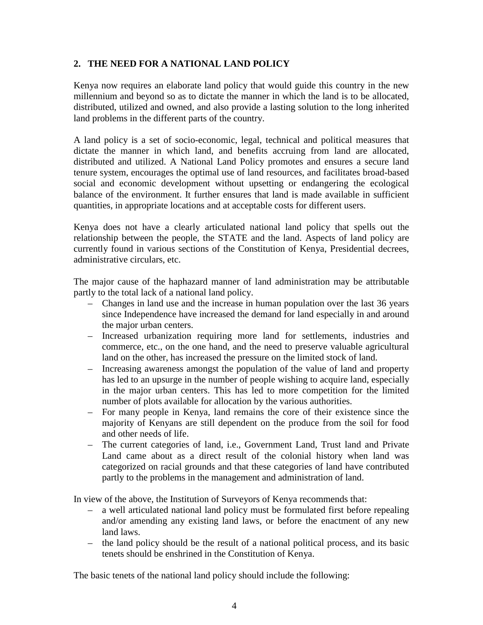### **2. THE NEED FOR A NATIONAL LAND POLICY**

Kenya now requires an elaborate land policy that would guide this country in the new millennium and beyond so as to dictate the manner in which the land is to be allocated, distributed, utilized and owned, and also provide a lasting solution to the long inherited land problems in the different parts of the country.

A land policy is a set of socio-economic, legal, technical and political measures that dictate the manner in which land, and benefits accruing from land are allocated, distributed and utilized. A National Land Policy promotes and ensures a secure land tenure system, encourages the optimal use of land resources, and facilitates broad-based social and economic development without upsetting or endangering the ecological balance of the environment. It further ensures that land is made available in sufficient quantities, in appropriate locations and at acceptable costs for different users.

Kenya does not have a clearly articulated national land policy that spells out the relationship between the people, the STATE and the land. Aspects of land policy are currently found in various sections of the Constitution of Kenya, Presidential decrees, administrative circulars, etc.

The major cause of the haphazard manner of land administration may be attributable partly to the total lack of a national land policy.

- Changes in land use and the increase in human population over the last 36 years since Independence have increased the demand for land especially in and around the major urban centers.
- Increased urbanization requiring more land for settlements, industries and commerce, etc., on the one hand, and the need to preserve valuable agricultural land on the other, has increased the pressure on the limited stock of land.
- Increasing awareness amongst the population of the value of land and property has led to an upsurge in the number of people wishing to acquire land, especially in the major urban centers. This has led to more competition for the limited number of plots available for allocation by the various authorities.
- For many people in Kenya, land remains the core of their existence since the majority of Kenyans are still dependent on the produce from the soil for food and other needs of life.
- The current categories of land, i.e., Government Land, Trust land and Private Land came about as a direct result of the colonial history when land was categorized on racial grounds and that these categories of land have contributed partly to the problems in the management and administration of land.

In view of the above, the Institution of Surveyors of Kenya recommends that:

- a well articulated national land policy must be formulated first before repealing and/or amending any existing land laws, or before the enactment of any new land laws.
- the land policy should be the result of a national political process, and its basic tenets should be enshrined in the Constitution of Kenya.

The basic tenets of the national land policy should include the following: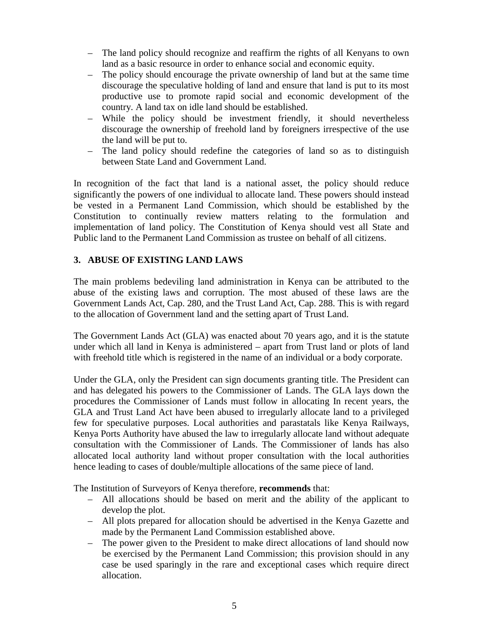- The land policy should recognize and reaffirm the rights of all Kenyans to own land as a basic resource in order to enhance social and economic equity.
- The policy should encourage the private ownership of land but at the same time discourage the speculative holding of land and ensure that land is put to its most productive use to promote rapid social and economic development of the country. A land tax on idle land should be established.
- While the policy should be investment friendly, it should nevertheless discourage the ownership of freehold land by foreigners irrespective of the use the land will be put to.
- The land policy should redefine the categories of land so as to distinguish between State Land and Government Land.

In recognition of the fact that land is a national asset, the policy should reduce significantly the powers of one individual to allocate land. These powers should instead be vested in a Permanent Land Commission, which should be established by the Constitution to continually review matters relating to the formulation and implementation of land policy. The Constitution of Kenya should vest all State and Public land to the Permanent Land Commission as trustee on behalf of all citizens.

### **3. ABUSE OF EXISTING LAND LAWS**

The main problems bedeviling land administration in Kenya can be attributed to the abuse of the existing laws and corruption. The most abused of these laws are the Government Lands Act, Cap. 280, and the Trust Land Act, Cap. 288. This is with regard to the allocation of Government land and the setting apart of Trust Land.

The Government Lands Act (GLA) was enacted about 70 years ago, and it is the statute under which all land in Kenya is administered – apart from Trust land or plots of land with freehold title which is registered in the name of an individual or a body corporate.

Under the GLA, only the President can sign documents granting title. The President can and has delegated his powers to the Commissioner of Lands. The GLA lays down the procedures the Commissioner of Lands must follow in allocating In recent years, the GLA and Trust Land Act have been abused to irregularly allocate land to a privileged few for speculative purposes. Local authorities and parastatals like Kenya Railways, Kenya Ports Authority have abused the law to irregularly allocate land without adequate consultation with the Commissioner of Lands. The Commissioner of lands has also allocated local authority land without proper consultation with the local authorities hence leading to cases of double/multiple allocations of the same piece of land.

The Institution of Surveyors of Kenya therefore, **recommends** that:

- All allocations should be based on merit and the ability of the applicant to develop the plot.
- All plots prepared for allocation should be advertised in the Kenya Gazette and made by the Permanent Land Commission established above.
- The power given to the President to make direct allocations of land should now be exercised by the Permanent Land Commission; this provision should in any case be used sparingly in the rare and exceptional cases which require direct allocation.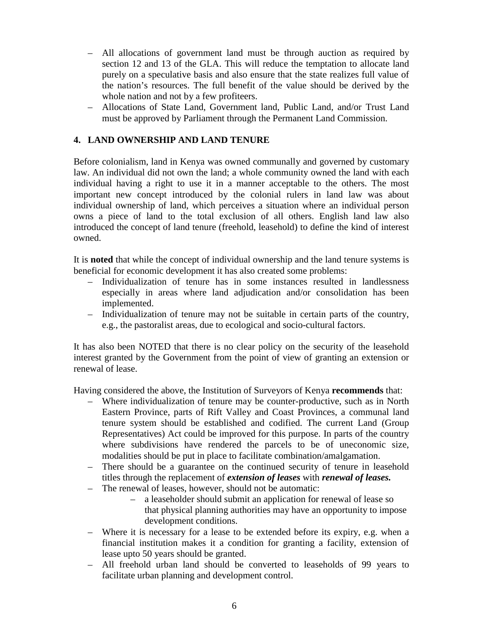- All allocations of government land must be through auction as required by section 12 and 13 of the GLA. This will reduce the temptation to allocate land purely on a speculative basis and also ensure that the state realizes full value of the nation's resources. The full benefit of the value should be derived by the whole nation and not by a few profiteers.
- Allocations of State Land, Government land, Public Land, and/or Trust Land must be approved by Parliament through the Permanent Land Commission.

#### **4. LAND OWNERSHIP AND LAND TENURE**

Before colonialism, land in Kenya was owned communally and governed by customary law. An individual did not own the land; a whole community owned the land with each individual having a right to use it in a manner acceptable to the others. The most important new concept introduced by the colonial rulers in land law was about individual ownership of land, which perceives a situation where an individual person owns a piece of land to the total exclusion of all others. English land law also introduced the concept of land tenure (freehold, leasehold) to define the kind of interest owned.

It is **noted** that while the concept of individual ownership and the land tenure systems is beneficial for economic development it has also created some problems:

- Individualization of tenure has in some instances resulted in landlessness especially in areas where land adjudication and/or consolidation has been implemented.
- Individualization of tenure may not be suitable in certain parts of the country, e.g., the pastoralist areas, due to ecological and socio-cultural factors.

It has also been NOTED that there is no clear policy on the security of the leasehold interest granted by the Government from the point of view of granting an extension or renewal of lease.

Having considered the above, the Institution of Surveyors of Kenya **recommends** that:

- Where individualization of tenure may be counter-productive, such as in North Eastern Province, parts of Rift Valley and Coast Provinces, a communal land tenure system should be established and codified. The current Land (Group Representatives) Act could be improved for this purpose. In parts of the country where subdivisions have rendered the parcels to be of uneconomic size, modalities should be put in place to facilitate combination/amalgamation.
- There should be a guarantee on the continued security of tenure in leasehold titles through the replacement of *extension of leases* with *renewal of leases.*
- The renewal of leases, however, should not be automatic:
	- a leaseholder should submit an application for renewal of lease so that physical planning authorities may have an opportunity to impose development conditions.
- Where it is necessary for a lease to be extended before its expiry, e.g. when a financial institution makes it a condition for granting a facility, extension of lease upto 50 years should be granted.
- All freehold urban land should be converted to leaseholds of 99 years to facilitate urban planning and development control.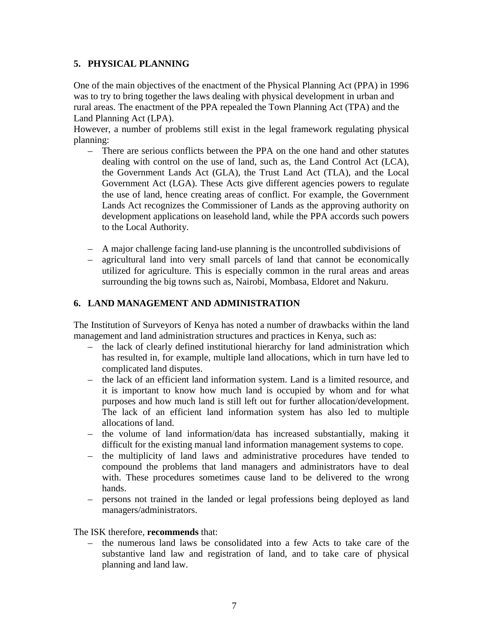## **5. PHYSICAL PLANNING**

One of the main objectives of the enactment of the Physical Planning Act (PPA) in 1996 was to try to bring together the laws dealing with physical development in urban and rural areas. The enactment of the PPA repealed the Town Planning Act (TPA) and the Land Planning Act (LPA).

However, a number of problems still exist in the legal framework regulating physical planning:

- There are serious conflicts between the PPA on the one hand and other statutes dealing with control on the use of land, such as, the Land Control Act (LCA), the Government Lands Act (GLA), the Trust Land Act (TLA), and the Local Government Act (LGA). These Acts give different agencies powers to regulate the use of land, hence creating areas of conflict. For example, the Government Lands Act recognizes the Commissioner of Lands as the approving authority on development applications on leasehold land, while the PPA accords such powers to the Local Authority.
- A major challenge facing land-use planning is the uncontrolled subdivisions of
- agricultural land into very small parcels of land that cannot be economically utilized for agriculture. This is especially common in the rural areas and areas surrounding the big towns such as, Nairobi, Mombasa, Eldoret and Nakuru.

### **6. LAND MANAGEMENT AND ADMINISTRATION**

The Institution of Surveyors of Kenya has noted a number of drawbacks within the land management and land administration structures and practices in Kenya, such as:

- the lack of clearly defined institutional hierarchy for land administration which has resulted in, for example, multiple land allocations, which in turn have led to complicated land disputes.
- the lack of an efficient land information system. Land is a limited resource, and it is important to know how much land is occupied by whom and for what purposes and how much land is still left out for further allocation/development. The lack of an efficient land information system has also led to multiple allocations of land.
- the volume of land information/data has increased substantially, making it difficult for the existing manual land information management systems to cope.
- the multiplicity of land laws and administrative procedures have tended to compound the problems that land managers and administrators have to deal with. These procedures sometimes cause land to be delivered to the wrong hands.
- persons not trained in the landed or legal professions being deployed as land managers/administrators.

### The ISK therefore, **recommends** that:

– the numerous land laws be consolidated into a few Acts to take care of the substantive land law and registration of land, and to take care of physical planning and land law.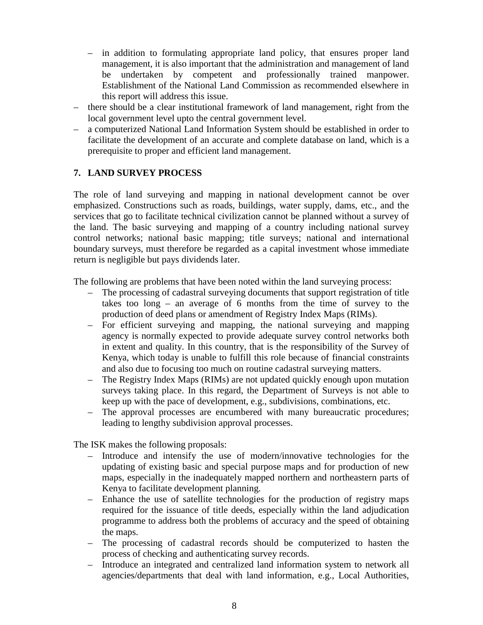- in addition to formulating appropriate land policy, that ensures proper land management, it is also important that the administration and management of land be undertaken by competent and professionally trained manpower. Establishment of the National Land Commission as recommended elsewhere in this report will address this issue.
- there should be a clear institutional framework of land management, right from the local government level upto the central government level.
- a computerized National Land Information System should be established in order to facilitate the development of an accurate and complete database on land, which is a prerequisite to proper and efficient land management.

#### **7. LAND SURVEY PROCESS**

The role of land surveying and mapping in national development cannot be over emphasized. Constructions such as roads, buildings, water supply, dams, etc., and the services that go to facilitate technical civilization cannot be planned without a survey of the land. The basic surveying and mapping of a country including national survey control networks; national basic mapping; title surveys; national and international boundary surveys, must therefore be regarded as a capital investment whose immediate return is negligible but pays dividends later.

The following are problems that have been noted within the land surveying process:

- The processing of cadastral surveying documents that support registration of title takes too long – an average of 6 months from the time of survey to the production of deed plans or amendment of Registry Index Maps (RIMs).
- For efficient surveying and mapping, the national surveying and mapping agency is normally expected to provide adequate survey control networks both in extent and quality. In this country, that is the responsibility of the Survey of Kenya, which today is unable to fulfill this role because of financial constraints and also due to focusing too much on routine cadastral surveying matters.
- The Registry Index Maps (RIMs) are not updated quickly enough upon mutation surveys taking place. In this regard, the Department of Surveys is not able to keep up with the pace of development, e.g., subdivisions, combinations, etc.
- The approval processes are encumbered with many bureaucratic procedures; leading to lengthy subdivision approval processes.

The ISK makes the following proposals:

- Introduce and intensify the use of modern/innovative technologies for the updating of existing basic and special purpose maps and for production of new maps, especially in the inadequately mapped northern and northeastern parts of Kenya to facilitate development planning.
- Enhance the use of satellite technologies for the production of registry maps required for the issuance of title deeds, especially within the land adjudication programme to address both the problems of accuracy and the speed of obtaining the maps.
- The processing of cadastral records should be computerized to hasten the process of checking and authenticating survey records.
- Introduce an integrated and centralized land information system to network all agencies/departments that deal with land information, e.g., Local Authorities,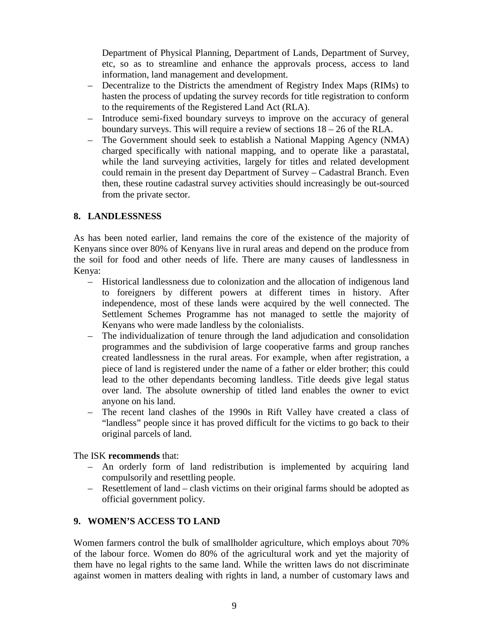Department of Physical Planning, Department of Lands, Department of Survey, etc, so as to streamline and enhance the approvals process, access to land information, land management and development.

- Decentralize to the Districts the amendment of Registry Index Maps (RIMs) to hasten the process of updating the survey records for title registration to conform to the requirements of the Registered Land Act (RLA).
- Introduce semi-fixed boundary surveys to improve on the accuracy of general boundary surveys. This will require a review of sections 18 – 26 of the RLA.
- The Government should seek to establish a National Mapping Agency (NMA) charged specifically with national mapping, and to operate like a parastatal, while the land surveying activities, largely for titles and related development could remain in the present day Department of Survey – Cadastral Branch. Even then, these routine cadastral survey activities should increasingly be out-sourced from the private sector.

#### **8. LANDLESSNESS**

As has been noted earlier, land remains the core of the existence of the majority of Kenyans since over 80% of Kenyans live in rural areas and depend on the produce from the soil for food and other needs of life. There are many causes of landlessness in Kenya:

- Historical landlessness due to colonization and the allocation of indigenous land to foreigners by different powers at different times in history. After independence, most of these lands were acquired by the well connected. The Settlement Schemes Programme has not managed to settle the majority of Kenyans who were made landless by the colonialists.
- The individualization of tenure through the land adjudication and consolidation programmes and the subdivision of large cooperative farms and group ranches created landlessness in the rural areas. For example, when after registration, a piece of land is registered under the name of a father or elder brother; this could lead to the other dependants becoming landless. Title deeds give legal status over land. The absolute ownership of titled land enables the owner to evict anyone on his land.
- The recent land clashes of the 1990s in Rift Valley have created a class of "landless" people since it has proved difficult for the victims to go back to their original parcels of land.

#### The ISK **recommends** that:

- An orderly form of land redistribution is implemented by acquiring land compulsorily and resettling people.
- Resettlement of land clash victims on their original farms should be adopted as official government policy.

### **9. WOMEN'S ACCESS TO LAND**

Women farmers control the bulk of smallholder agriculture, which employs about 70% of the labour force. Women do 80% of the agricultural work and yet the majority of them have no legal rights to the same land. While the written laws do not discriminate against women in matters dealing with rights in land, a number of customary laws and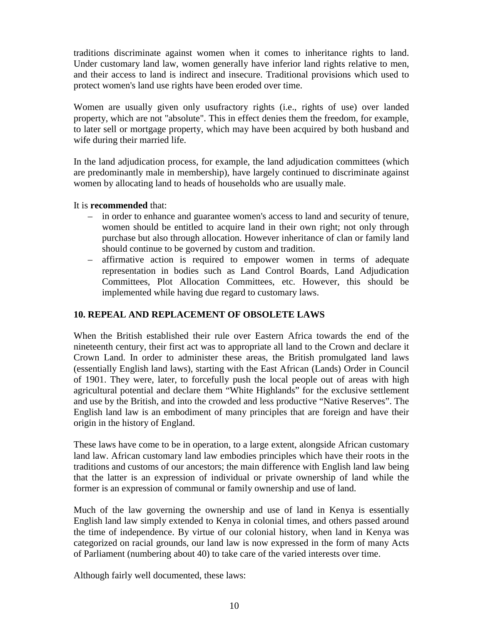traditions discriminate against women when it comes to inheritance rights to land. Under customary land law, women generally have inferior land rights relative to men, and their access to land is indirect and insecure. Traditional provisions which used to protect women's land use rights have been eroded over time.

Women are usually given only usufractory rights (i.e., rights of use) over landed property, which are not "absolute". This in effect denies them the freedom, for example, to later sell or mortgage property, which may have been acquired by both husband and wife during their married life.

In the land adjudication process, for example, the land adjudication committees (which are predominantly male in membership), have largely continued to discriminate against women by allocating land to heads of households who are usually male.

#### It is **recommended** that:

- in order to enhance and guarantee women's access to land and security of tenure, women should be entitled to acquire land in their own right; not only through purchase but also through allocation. However inheritance of clan or family land should continue to be governed by custom and tradition.
- affirmative action is required to empower women in terms of adequate representation in bodies such as Land Control Boards, Land Adjudication Committees, Plot Allocation Committees, etc. However, this should be implemented while having due regard to customary laws.

## **10. REPEAL AND REPLACEMENT OF OBSOLETE LAWS**

When the British established their rule over Eastern Africa towards the end of the nineteenth century, their first act was to appropriate all land to the Crown and declare it Crown Land. In order to administer these areas, the British promulgated land laws (essentially English land laws), starting with the East African (Lands) Order in Council of 1901. They were, later, to forcefully push the local people out of areas with high agricultural potential and declare them "White Highlands" for the exclusive settlement and use by the British, and into the crowded and less productive "Native Reserves". The English land law is an embodiment of many principles that are foreign and have their origin in the history of England.

These laws have come to be in operation, to a large extent, alongside African customary land law. African customary land law embodies principles which have their roots in the traditions and customs of our ancestors; the main difference with English land law being that the latter is an expression of individual or private ownership of land while the former is an expression of communal or family ownership and use of land.

Much of the law governing the ownership and use of land in Kenya is essentially English land law simply extended to Kenya in colonial times, and others passed around the time of independence. By virtue of our colonial history, when land in Kenya was categorized on racial grounds, our land law is now expressed in the form of many Acts of Parliament (numbering about 40) to take care of the varied interests over time.

Although fairly well documented, these laws: